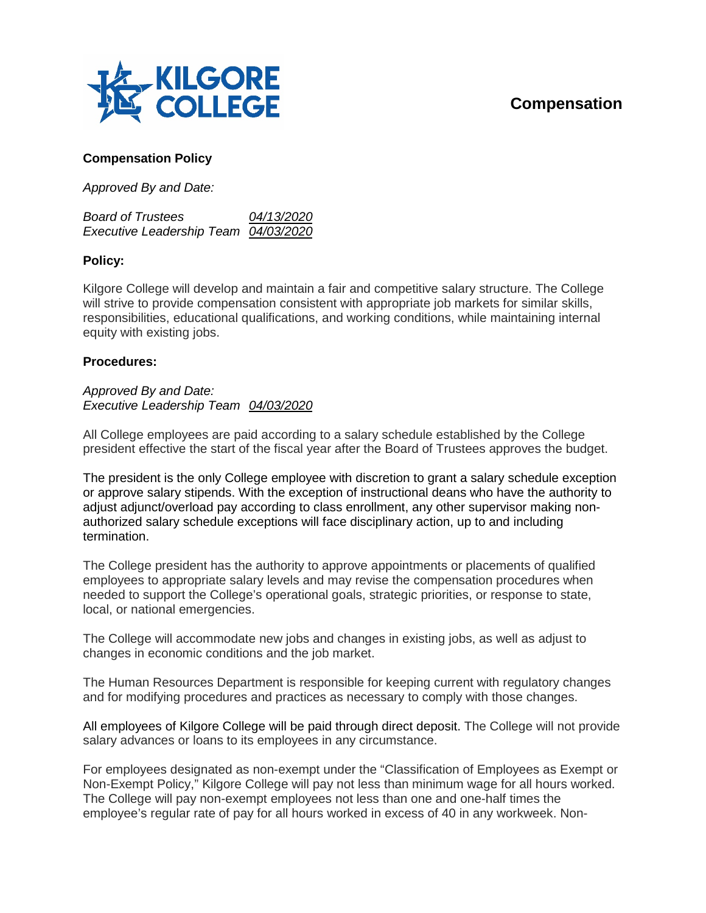## **Compensation**



## **Compensation Policy**

*Approved By and Date:*

| <b>Board of Trustees</b>             | <i>04/13/2020</i> |
|--------------------------------------|-------------------|
| Executive Leadership Team 04/03/2020 |                   |

## **Policy:**

Kilgore College will develop and maintain a fair and competitive salary structure. The College will strive to provide compensation consistent with appropriate job markets for similar skills, responsibilities, educational qualifications, and working conditions, while maintaining internal equity with existing jobs.

## **Procedures:**

*Approved By and Date: Executive Leadership Team 04/03/2020*

All College employees are paid according to a salary schedule established by the College president effective the start of the fiscal year after the Board of Trustees approves the budget.

The president is the only College employee with discretion to grant a salary schedule exception or approve salary stipends. With the exception of instructional deans who have the authority to adjust adjunct/overload pay according to class enrollment, any other supervisor making nonauthorized salary schedule exceptions will face disciplinary action, up to and including termination.

The College president has the authority to approve appointments or placements of qualified employees to appropriate salary levels and may revise the compensation procedures when needed to support the College's operational goals, strategic priorities, or response to state, local, or national emergencies.

The College will accommodate new jobs and changes in existing jobs, as well as adjust to changes in economic conditions and the job market.

The Human Resources Department is responsible for keeping current with regulatory changes and for modifying procedures and practices as necessary to comply with those changes.

All employees of Kilgore College will be paid through direct deposit. The College will not provide salary advances or loans to its employees in any circumstance.

For employees designated as non-exempt under the "Classification of Employees as Exempt or Non-Exempt Policy," Kilgore College will pay not less than minimum wage for all hours worked. The College will pay non-exempt employees not less than one and one-half times the employee's regular rate of pay for all hours worked in excess of 40 in any workweek. Non